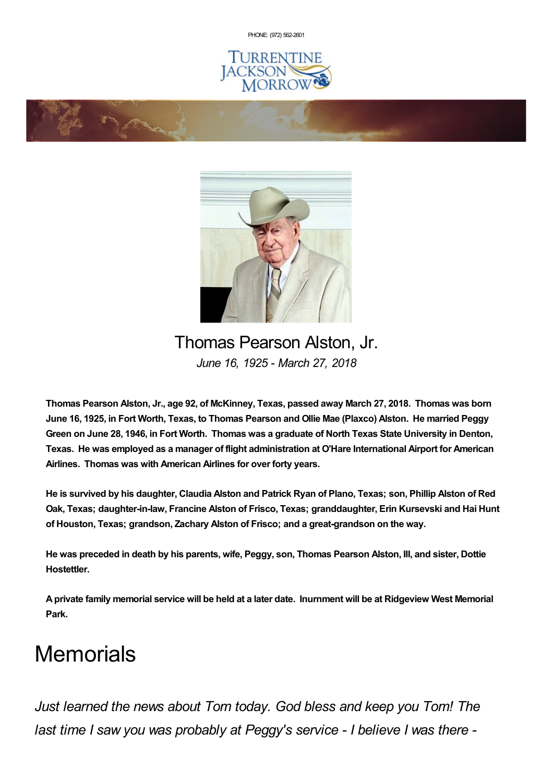PHONE: (972) [562-2601](tel:(972) 562-2601)







## Thomas Pearson Alston, Jr. *June 16, 1925 - March 27, 2018*

**Thomas Pearson Alston, Jr., age 92, of McKinney, Texas, passed away March 27, 2018. Thomas was born** June 16, 1925, in Fort Worth, Texas, to Thomas Pearson and Ollie Mae (Plaxco) Alston. He married Peggy Green on June 28, 1946, in Fort Worth. Thomas was a graduate of North Texas State University in Denton, **Texas. He was employed as a manager of flight administration at O'Hare International Airport for American Airlines. Thomas was with American Airlines for over forty years.**

He is survived by his daughter, Claudia Alston and Patrick Ryan of Plano, Texas; son, Phillip Alston of Red **Oak, Texas; daughter-in-law, Francine Alston of Frisco, Texas; granddaughter, Erin Kursevski and Hai Hunt of Houston, Texas; grandson, Zachary Alston of Frisco; and a great-grandson on the way.**

He was preceded in death by his parents, wife, Peggy, son, Thomas Pearson Alston, III, and sister, Dottie **Hostettler.**

A private family memorial service will be held at a later date. Inurnment will be at Ridgeview West Memorial **Park.**

## **Memorials**

*Just learned the news about Tom today. God bless and keep you Tom! The last time I saw you was probably at Peggy's service - I believe I was there -*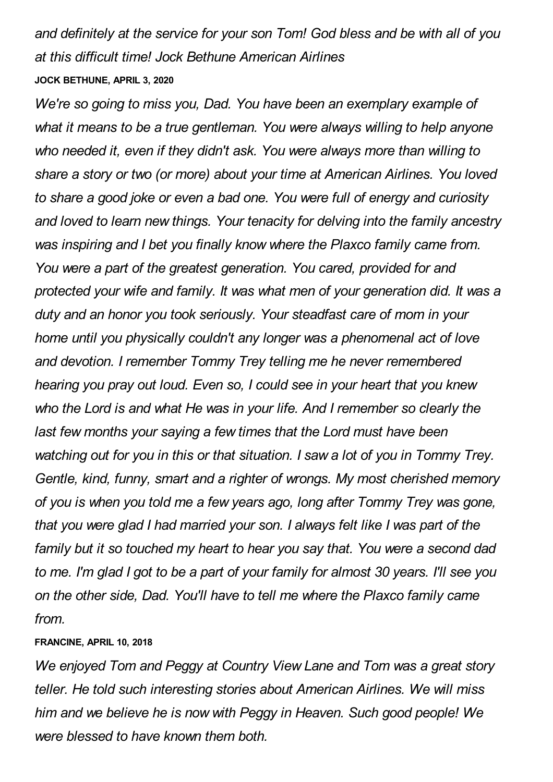*and definitely at the service for your son Tom! God bless and be with all of you at this difficult time! Jock Bethune American Airlines* **JOCK BETHUNE, APRIL 3, 2020**

*We're so going to miss you, Dad. You have been an exemplary example of what it means to be a true gentleman. You were always willing to help anyone who needed it, even if they didn't ask. You were always more than willing to share a story or two (or more) about your time at American Airlines. You loved to share a good joke or even a bad one. You were full of energy and curiosity and loved to learn new things. Your tenacity for delving into the family ancestry was inspiring and I bet you finally know where the Plaxco family came from. You were a part of the greatest generation. You cared, provided for and protected your wife and family. It was what men of your generation did. It was a duty and an honor you took seriously. Your steadfast care of mom in your home until you physically couldn't any longer was a phenomenal act of love and devotion. I remember Tommy Trey telling me he never remembered hearing you pray out loud. Even so, I could see in your heart that you knew who the Lord is and what He was in your life. And I remember so clearly the last few months your saying a few times that the Lord must have been watching out for you in this or that situation. I saw a lot of you in Tommy Trey. Gentle, kind, funny, smart and a righter of wrongs. My most cherished memory of you is when you told me a few years ago, long after Tommy Trey was gone, that you were glad I had married your son. I always felt like I was part of the family but it so touched my heart to hear you say that. You were a second dad to me. I'm glad I got to be a part of your family for almost 30 years. I'll see you on the other side, Dad. You'll have to tell me where the Plaxco family came from.*

## **FRANCINE, APRIL 10, 2018**

*We enjoyed Tom and Peggy at Country View Lane and Tom was a great story teller. He told such interesting stories about American Airlines. We will miss him and we believe he is now with Peggy in Heaven. Such good people! We were blessed to have known them both.*